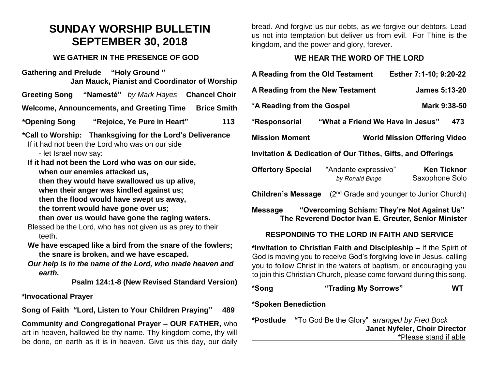# **SUNDAY WORSHIP BULLETIN SEPTEMBER 30, 2018**

#### **WE GATHER IN THE PRESENCE OF GOD**

**Gathering and Prelude "Holy Ground " Jan Mauck, Pianist and Coordinator of Worship**

**Greeting Song "Namesté"** *by Mark Hayes* **Chancel Choir**

**Welcome, Announcements, and Greeting Time Brice Smith** 

**\*Opening Song "Rejoice, Ye Pure in Heart" 113**

**\*Call to Worship: Thanksgiving for the Lord's Deliverance**

If it had not been the Lord who was on our side

- let Israel now say:

**If it had not been the Lord who was on our side, when our enemies attacked us,**

**then they would have swallowed us up alive,**

**when their anger was kindled against us;**

**then the flood would have swept us away,**

**the torrent would have gone over us;**

**then over us would have gone the raging waters.**

Blessed be the Lord, who has not given us as prey to their teeth.

- **We have escaped like a bird from the snare of the fowlers; the snare is broken, and we have escaped.**
- *Our help is in the name of the Lord, who made heaven and earth.*

**Psalm 124:1-8 (New Revised Standard Version)**

## **\*Invocational Prayer**

**Song of Faith "Lord, Listen to Your Children Praying" 489**

**Community and Congregational Prayer – OUR FATHER,** who art in heaven, hallowed be thy name. Thy kingdom come, thy will be done, on earth as it is in heaven. Give us this day, our daily bread. And forgive us our debts, as we forgive our debtors. Lead us not into temptation but deliver us from evil. For Thine is the kingdom, and the power and glory, forever.

## **WE HEAR THE WORD OF THE LORD**

| A Reading from the Old Testament<br>Esther 7:1-10; 9:20-22                                                     |                                         |                                      |
|----------------------------------------------------------------------------------------------------------------|-----------------------------------------|--------------------------------------|
| A Reading from the New Testament<br><b>James 5:13-20</b>                                                       |                                         |                                      |
| *A Reading from the Gospel                                                                                     |                                         | Mark 9:38-50                         |
| "What a Friend We Have in Jesus"<br>*Responsorial<br>473                                                       |                                         |                                      |
| <b>Mission Moment</b>                                                                                          | <b>World Mission Offering Video</b>     |                                      |
| <b>Invitation &amp; Dedication of Our Tithes, Gifts, and Offerings</b>                                         |                                         |                                      |
| <b>Offertory Special</b>                                                                                       | "Andante expressivo"<br>by Ronald Binge | <b>Ken Ticknor</b><br>Saxophone Solo |
| <b>Children's Message</b> $(2^{nd}$ Grade and younger to Junior Church)                                        |                                         |                                      |
| "Overcoming Schism: They're Not Against Us"<br>Message<br>The Reverend Doctor Ivan E. Greuter, Senior Minister |                                         |                                      |
| <b>RESPONDING TO THE LORD IN FAITH AND SERVICE</b>                                                             |                                         |                                      |

**\*Invitation to Christian Faith and Discipleship –** If the Spirit of God is moving you to receive God's forgiving love in Jesus, calling you to follow Christ in the waters of baptism, or encouraging you to join this Christian Church, please come forward during this song.

**\*Song "Trading My Sorrows" WT**

## **\*Spoken Benediction**

**\*Postlude "**To God Be the Glory" *arranged by Fred Bock* **Janet Nyfeler, Choir Director**  \*Please stand if able